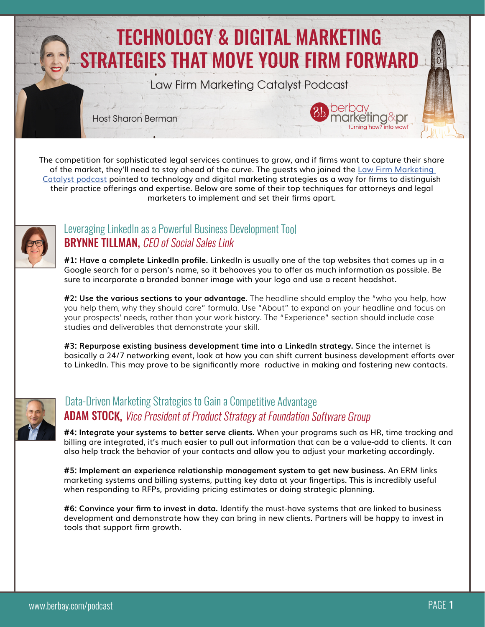

The competition for sophisticated legal services continues to grow, and if firms want to capture their share of the market, they'll need to stay ahead of the curve. The guests who joined the [Law Firm Marketing](http://bit.ly/BBLFMCpodcast)  [Catalyst podcast](http://bit.ly/BBLFMCpodcast) pointed to technology and digital marketing strategies as a way for firms to distinguish their practice offerings and expertise. Below are some of their top techniques for attorneys and legal marketers to implement and set their firms apart.



#### **BRYNNE TILLMAN, CEO of Social Sales Link** [Leveraging LinkedIn as a Powerful Business Development Tool](http://bit.ly/LFMCbrynne)

**#1: Have a complete LinkedIn profile.** LinkedIn is usually one of the top websites that comes up in a Google search for a person's name, so it behooves you to offer as much information as possible. Be sure to incorporate a branded banner image with your logo and use a recent headshot.

**#2: Use the various sections to your advantage.** The headline should employ the "who you help, how you help them, why they should care" formula. Use "About" to expand on your headline and focus on your prospects' needs, rather than your work history. The "Experience" section should include case studies and deliverables that demonstrate your skill.

**#3: Repurpose existing business development time into a LinkedIn strategy.** Since the internet is basically a 24/7 networking event, look at how you can shift current business development efforts over to LinkedIn. This may prove to be significantly more roductive in making and fostering new contacts.



### **ADAM STOCK, Vice President of Product Strategy at Foundation Software Group** [Data-Driven Marketing Strategies to Gain a Competitive Advantage](http://bit.ly/LFMCadam)

**#4: Integrate your systems to better serve clients.** When your programs such as HR, time tracking and billing are integrated, it's much easier to pull out information that can be a value-add to clients. It can also help track the behavior of your contacts and allow you to adjust your marketing accordingly.

**#5: Implement an experience relationship management system to get new business.** An ERM links marketing systems and billing systems, putting key data at your fingertips. This is incredibly useful when responding to RFPs, providing pricing estimates or doing strategic planning.

**#6: Convince your firm to invest in data.** Identify the must-have systems that are linked to business development and demonstrate how they can bring in new clients. Partners will be happy to invest in tools that support firm growth.